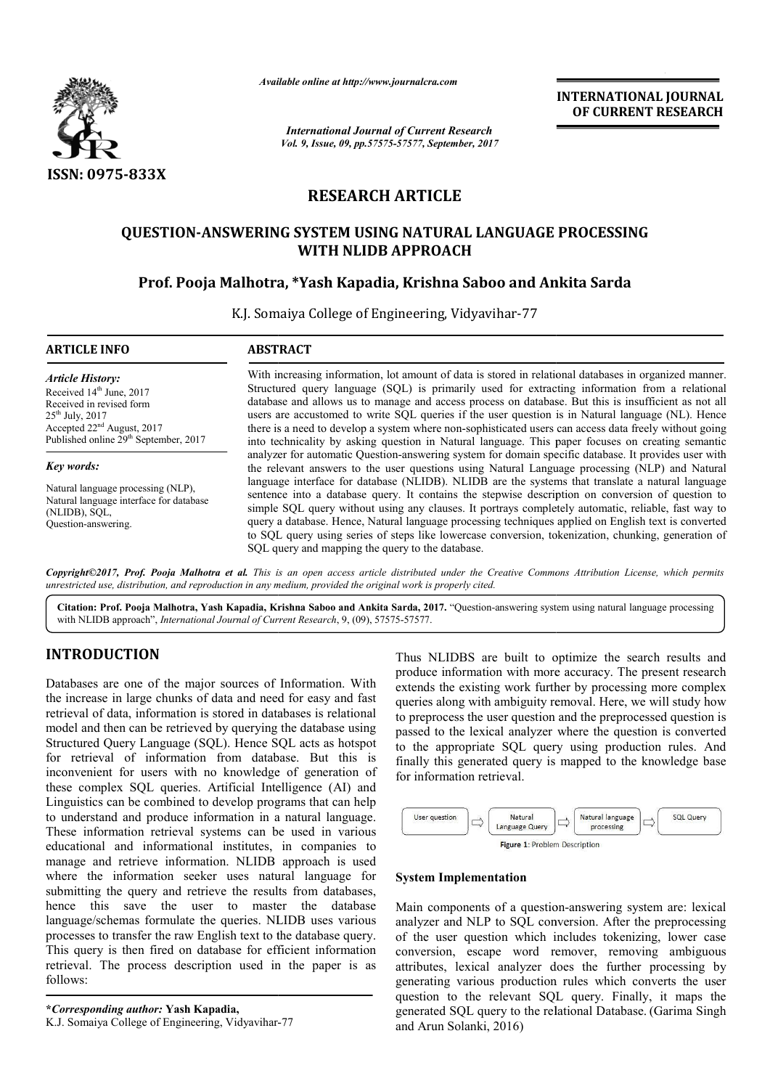

*Available online at http://www.journalcra.com*

*International Journal of Current Research Vol. 9, Issue, 09, pp.57575-57577, September, 2017* **INTERNATIONAL JOURNAL OF CURRENT RESEARCH**

# **RESEARCH ARTICLE**

# QUESTION-ANSWERING SYSTEM USING NATURAL LANGUAGE PROCESSING<br>WITH NLIDB APPROACH<br>Prof. Pooja Malhotra, \*Yash Kapadia, Krishna Saboo and Ankita Sarda **WITH NLIDB APPROACH**

## **Prof. Pooja Malhotra, \*Yash Kapadia, Krishna Saboo and Ankita Sarda**

K.J. Somaiya College of Engineering, Vidyavihar-77

| <b>ARTICLE INFO</b>                                                                                                                                                                                           | <b>ABSTRACT</b>                                                                                                                                                                                                                                                                                                                                                                                                                                                                                                                                                                                                                                                                                                                                                                           |
|---------------------------------------------------------------------------------------------------------------------------------------------------------------------------------------------------------------|-------------------------------------------------------------------------------------------------------------------------------------------------------------------------------------------------------------------------------------------------------------------------------------------------------------------------------------------------------------------------------------------------------------------------------------------------------------------------------------------------------------------------------------------------------------------------------------------------------------------------------------------------------------------------------------------------------------------------------------------------------------------------------------------|
| Article History:<br>Received 14 <sup>th</sup> June, 2017<br>Received in revised form<br>$25^{th}$ July, $2017$<br>Accepted 22 <sup>nd</sup> August, 2017<br>Published online 29 <sup>th</sup> September, 2017 | With increasing information, lot amount of data is stored in relational databases in organized manner.<br>Structured query language (SQL) is primarily used for extracting information from a relational<br>database and allows us to manage and access process on database. But this is insufficient as not all<br>users are accustomed to write SQL queries if the user question is in Natural language (NL). Hence<br>there is a need to develop a system where non-sophisticated users can access data freely without going<br>into technicality by asking question in Natural language. This paper focuses on creating semantic                                                                                                                                                      |
| <b>Key words:</b><br>Natural language processing (NLP),<br>Natural language interface for database<br>(NLIDB), SQL,<br>Ouestion-answering.                                                                    | analyzer for automatic Question-answering system for domain specific database. It provides user with<br>the relevant answers to the user questions using Natural Language processing (NLP) and Natural<br>language interface for database (NLIDB). NLIDB are the systems that translate a natural language<br>sentence into a database query. It contains the stepwise description on conversion of question to<br>simple SQL query without using any clauses. It portrays completely automatic, reliable, fast way to<br>query a database. Hence, Natural language processing techniques applied on English text is converted<br>to SQL query using series of steps like lowercase conversion, tokenization, chunking, generation of<br>SQL query and mapping the query to the database. |

Copyright©2017, Prof. Pooja Malhotra et al. This is an open access article distributed under the Creative Commons Attribution License, which permits unrestricted use, distribution, and reproduction in any medium, provided the original work is properly cited.

Citation: Prof. Pooja Malhotra, Yash Kapadia, Krishna Saboo and Ankita Sarda, 2017. "Question-answering system using natural language processing with NLIDB approach", *International Journal of Current Research*, 9, (09), 57575-57577.

# **INTRODUCTION**

Databases are one of the major sources of Information. With the increase in large chunks of data and need for easy and fast retrieval of data, information is stored in databases is relational model and then can be retrieved by querying the database using Structured Query Language (SQL). Hence SQL acts as hotspot for retrieval of information from database. But this is inconvenient for users with no knowledge of generation of these complex SQL queries. Artificial Intelligence (AI) and Linguistics can be combined to develop programs that can help to understand and produce information in a natural These information retrieval systems can be used in various educational and informational institutes, in companies to manage and retrieve information. NLIDB approach is used where the information seeker uses natural language for submitting the query and retrieve the results from databases. hence this save the user to master the database language/schemas formulate the queries. NLIDB uses various processes to transfer the raw English text to the database query. This query is then fired on database for efficient information retrieval. The process description used in the paper is as follows: om database. But this is<br>knowledge of generation of<br>ificial Intelligence (AI) and<br>velop programs that can help<br>nation in a natural language. ry and retrieve the results<br>the user to master<br>formulate the queries. NLII<br>r the raw English text to the<br>fired on database for effici<br>cess description used in t<br>nor: **Yash Kapadia**,<br>of Engineering, Vidyavihar-77

Thus NLIDBS are built to optimize the search results and produce information with more accuracy. The present research extends the existing work further by processing more complex queries along with ambiguity removal. Here, we will study how to preprocess the user question and the preprocessed question is passed to the lexical analyzer where the question is converted to the appropriate SQL query using production rules. And finally this generated query is mapped to the knowledge base for information retrieval. Thus NLIDBS are built to optimize the search results and<br>produce information with more accuracy. The present research<br>extends the existing work further by processing more complex<br>queries along with ambiguity removal. Here



#### **System Implementation**

Main components of a question-answering system are: lexical analyzer and NLP to SQL conversion. After the preprocessing of the user question which includes tokenizing, lower case conversion, escape word remover, removing ambiguous analyzer and NLP to SQL conversion. After the preprocessing of the user question which includes tokenizing, lower case conversion, escape word remover, removing ambiguous attributes, lexical analyzer does the further proce generating various production rules which converts the user generating various production rules which converts the user question to the relevant SQL query. Finally, it maps the generated SQL query to the relational Database. (Garima Singh and Arun Solanki, 2016)

**<sup>\*</sup>***Corresponding author:* **Yash Kapadia,** K.J. Somaiya College of Engineering, Vidyavihar-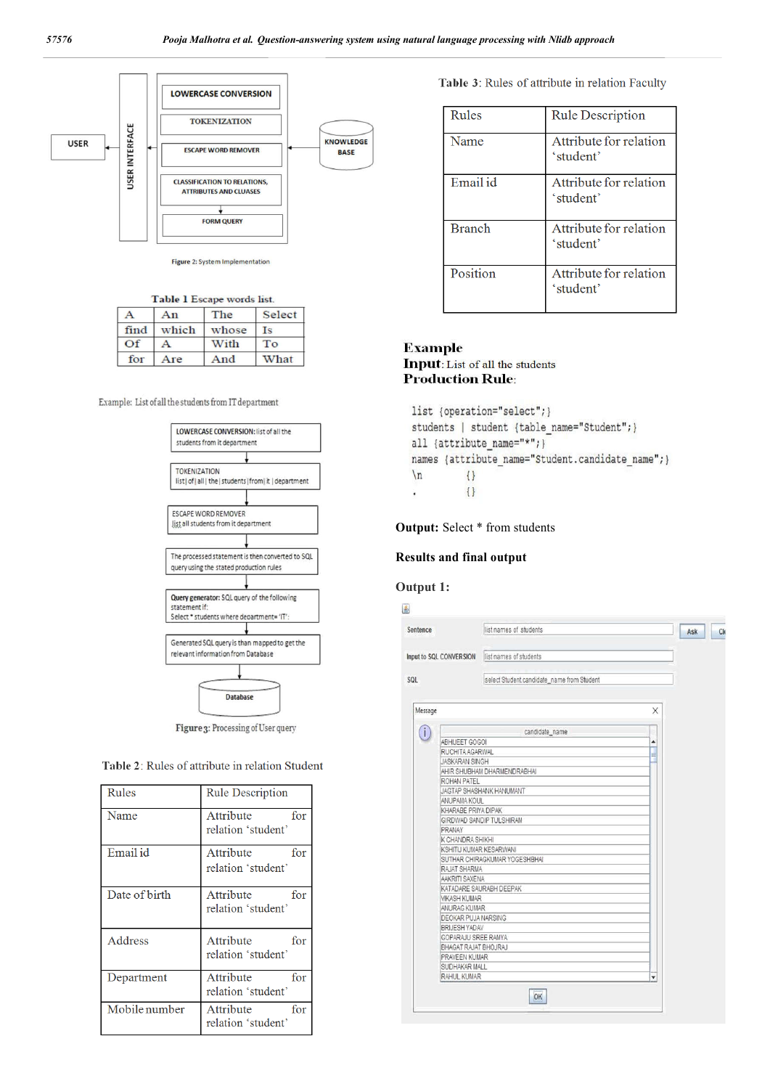

Figure 2: System Implementation

| Table 1 Escape words list |  |  |  |  |
|---------------------------|--|--|--|--|
|---------------------------|--|--|--|--|

|                 | An    | The   | Select |  |
|-----------------|-------|-------|--------|--|
| find            | which | whose | Is     |  |
| $\overline{Of}$ |       | With  | To     |  |
| for             | Are   | And   | What   |  |

Example: List of all the students from IT department



Figure 3: Processing of User query

| Table 2: Rules of attribute in relation Student |  |  |  |
|-------------------------------------------------|--|--|--|
|-------------------------------------------------|--|--|--|

| Rules         | <b>Rule Description</b>                |
|---------------|----------------------------------------|
| Name          | Attribute<br>for                       |
|               | relation 'student'                     |
| Email id      | Attribute<br>for                       |
|               | relation 'student'                     |
| Date of birth | Attribute<br>for<br>relation 'student' |
|               |                                        |
| Address       | Attribute<br>for                       |
|               | relation 'student'                     |
| Department    | Attribute<br>for                       |
|               | relation 'student'                     |
| Mobile number | Attribute<br>for                       |
|               | relation 'student'                     |

Table 3: Rules of attribute in relation Faculty

| Rules         | <b>Rule Description</b>             |
|---------------|-------------------------------------|
| Name          | Attribute for relation<br>'student' |
| Email id      | Attribute for relation<br>'student' |
| <b>Branch</b> | Attribute for relation<br>'student' |
| Position      | Attribute for relation<br>'student' |

# **Example**

**Input:** List of all the students **Production Rule:** 

```
list {operation="select";}
students | student {table name="Student";}
all {attribute name="*"; }
names {attribute_name="Student.candidate_name"; }
\ln\{\}\{\}÷,
```
**Output:** Select \* from students

#### **Results and final output**

#### **Output 1:**

| Sentence                   | list names of students                     | Ask |
|----------------------------|--------------------------------------------|-----|
| Input to SQL CONVERSION    | list names of students                     |     |
| <b>SOL</b>                 | select Student.candidate_name from Student |     |
| Message                    |                                            | X   |
|                            | candidate_name                             |     |
| ABHIJEET GOGOI             |                                            | A   |
| RUCHITA AGARWAL            |                                            |     |
| <b>JASKARAN SINGH</b>      |                                            | ≡   |
|                            | AHIR SHUBHAM DHARMENDRABHAI                |     |
| ROHAN PATEL                |                                            |     |
|                            | JAGTAP SHASHANK HANUMANT                   |     |
| ANUPAMA KOUL               |                                            |     |
| KHARABE PRIYA DIPAK        |                                            |     |
|                            | GIRDWAD SANDIP TULSHIRAM                   |     |
| PRANAY                     |                                            |     |
| K CHANDRA SHIKHI           |                                            |     |
| KSHITIJ KUMAR KESARWANI    |                                            |     |
|                            | SUTHAR CHIRAGKUMAR YOGESHBHAI              |     |
| RAJAT SHARMA               |                                            |     |
| AAKRITI SAXENA             |                                            |     |
|                            | KATADARE SAURABH DEEPAK                    |     |
| <b>VIKASH KUMAR</b>        |                                            |     |
| ANURAG KUMAR               |                                            |     |
| <b>DEOKAR PUJA NARSING</b> |                                            |     |
| BRIJESH YADAV              |                                            |     |
| GOPARAJU SREE RAMYA        |                                            |     |
| BHAGAT RAJAT BHOJRAJ       |                                            |     |
| PRAVEEN KUMAR              |                                            |     |
| SUDHAKAR MALL              |                                            |     |
| <b>RAHUL KUMAR</b>         |                                            | ▼   |